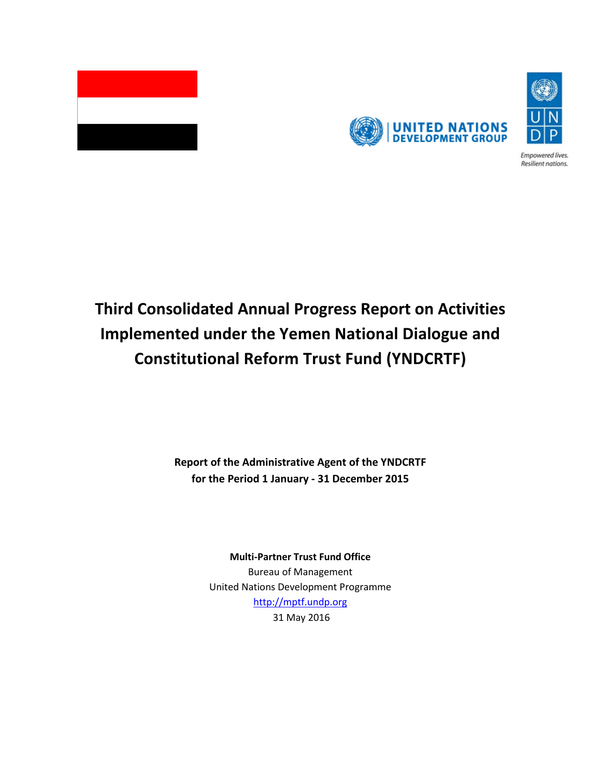



Empowered lives. Resilient nations.

# **Third Consolidated Annual Progress Report on Activities Implemented under the Yemen National Dialogue and Constitutional Reform Trust Fund (YNDCRTF)**

**Report of the Administrative Agent of the YNDCRTF for the Period 1 January - 31 December 2015**

**Multi-Partner Trust Fund Office**

Bureau of Management United Nations Development Programme [http://mptf.undp.org](http://mptf.undp.org/) 31 May 2016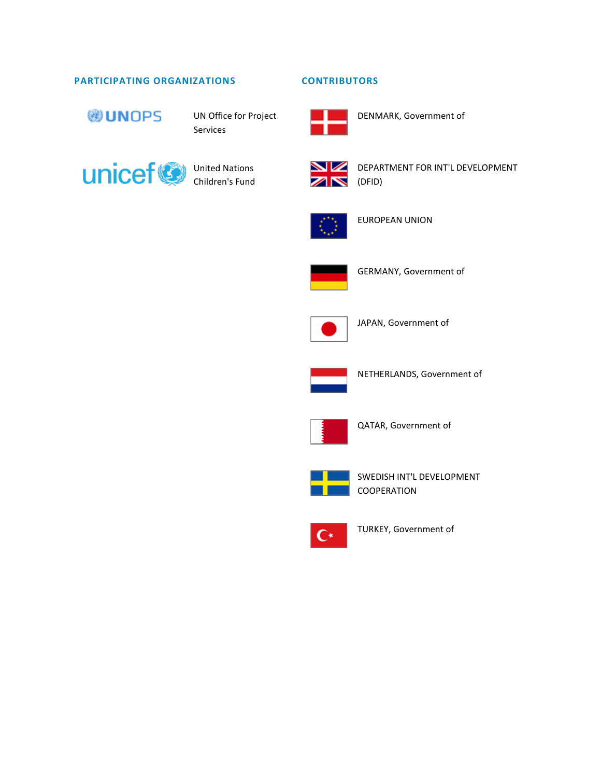### **PARTICIPATING ORGANIZATIONS CONTRIBUTORS**



UN Office for Project Services



United Nations Children's Fund



DEPARTMENT FOR INT'L DEVELOPMENT



EUROPEAN UNION



GERMANY, Government of

DENMARK, Government of



JAPAN, Government of



NETHERLANDS, Government of



QATAR, Government of



SWEDISH INT'L DEVELOPMENT COOPERATION



TURKEY, Government of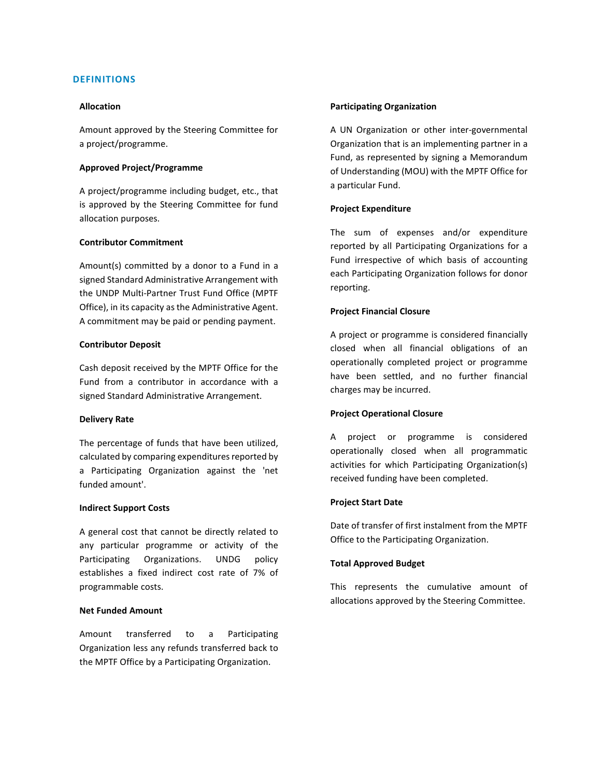#### **DEFINITIONS**

#### **Allocation**

Amount approved by the Steering Committee for a project/programme.

#### **Approved Project/Programme**

A project/programme including budget, etc., that is approved by the Steering Committee for fund allocation purposes.

#### **Contributor Commitment**

Amount(s) committed by a donor to a Fund in a signed Standard Administrative Arrangement with the UNDP Multi-Partner Trust Fund Office (MPTF Office), in its capacity as the Administrative Agent. A commitment may be paid or pending payment.

#### **Contributor Deposit**

Cash deposit received by the MPTF Office for the Fund from a contributor in accordance with a signed Standard Administrative Arrangement.

#### **Delivery Rate**

The percentage of funds that have been utilized, calculated by comparing expenditures reported by a Participating Organization against the 'net funded amount'.

#### **Indirect Support Costs**

A general cost that cannot be directly related to any particular programme or activity of the Participating Organizations. UNDG policy establishes a fixed indirect cost rate of 7% of programmable costs.

#### **Net Funded Amount**

Amount transferred to a Participating Organization less any refunds transferred back to the MPTF Office by a Participating Organization.

#### **Participating Organization**

A UN Organization or other inter-governmental Organization that is an implementing partner in a Fund, as represented by signing a Memorandum of Understanding (MOU) with the MPTF Office for a particular Fund.

#### **Project Expenditure**

The sum of expenses and/or expenditure reported by all Participating Organizations for a Fund irrespective of which basis of accounting each Participating Organization follows for donor reporting.

#### **Project Financial Closure**

A project or programme is considered financially closed when all financial obligations of an operationally completed project or programme have been settled, and no further financial charges may be incurred.

#### **Project Operational Closure**

A project or programme is considered operationally closed when all programmatic activities for which Participating Organization(s) received funding have been completed.

#### **Project Start Date**

Date of transfer of first instalment from the MPTF Office to the Participating Organization.

#### **Total Approved Budget**

This represents the cumulative amount of allocations approved by the Steering Committee.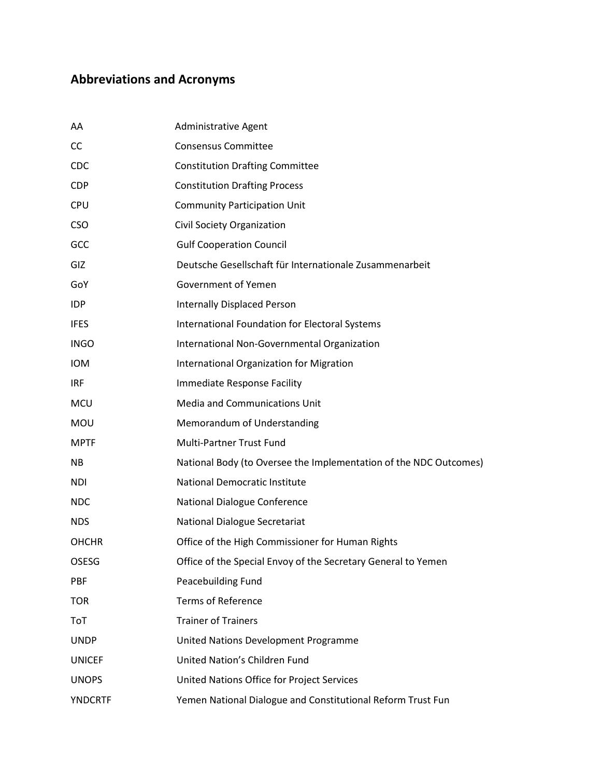## **Abbreviations and Acronyms**

| AA             | <b>Administrative Agent</b>                                       |
|----------------|-------------------------------------------------------------------|
| <b>CC</b>      | <b>Consensus Committee</b>                                        |
| <b>CDC</b>     | <b>Constitution Drafting Committee</b>                            |
| <b>CDP</b>     | <b>Constitution Drafting Process</b>                              |
| <b>CPU</b>     | <b>Community Participation Unit</b>                               |
| <b>CSO</b>     | Civil Society Organization                                        |
| GCC            | <b>Gulf Cooperation Council</b>                                   |
| GIZ            | Deutsche Gesellschaft für Internationale Zusammenarbeit           |
| GoY            | Government of Yemen                                               |
| IDP            | <b>Internally Displaced Person</b>                                |
| <b>IFES</b>    | International Foundation for Electoral Systems                    |
| <b>INGO</b>    | International Non-Governmental Organization                       |
| <b>IOM</b>     | International Organization for Migration                          |
| IRF            | Immediate Response Facility                                       |
| <b>MCU</b>     | <b>Media and Communications Unit</b>                              |
| <b>MOU</b>     | Memorandum of Understanding                                       |
| <b>MPTF</b>    | Multi-Partner Trust Fund                                          |
| NB.            | National Body (to Oversee the Implementation of the NDC Outcomes) |
| <b>NDI</b>     | <b>National Democratic Institute</b>                              |
| <b>NDC</b>     | National Dialogue Conference                                      |
| <b>NDS</b>     | <b>National Dialogue Secretariat</b>                              |
| <b>OHCHR</b>   | Office of the High Commissioner for Human Rights                  |
| <b>OSESG</b>   | Office of the Special Envoy of the Secretary General to Yemen     |
| PBF            | Peacebuilding Fund                                                |
| <b>TOR</b>     | <b>Terms of Reference</b>                                         |
| ToT            | <b>Trainer of Trainers</b>                                        |
| <b>UNDP</b>    | United Nations Development Programme                              |
| <b>UNICEF</b>  | United Nation's Children Fund                                     |
| <b>UNOPS</b>   | United Nations Office for Project Services                        |
| <b>YNDCRTF</b> | Yemen National Dialogue and Constitutional Reform Trust Fun       |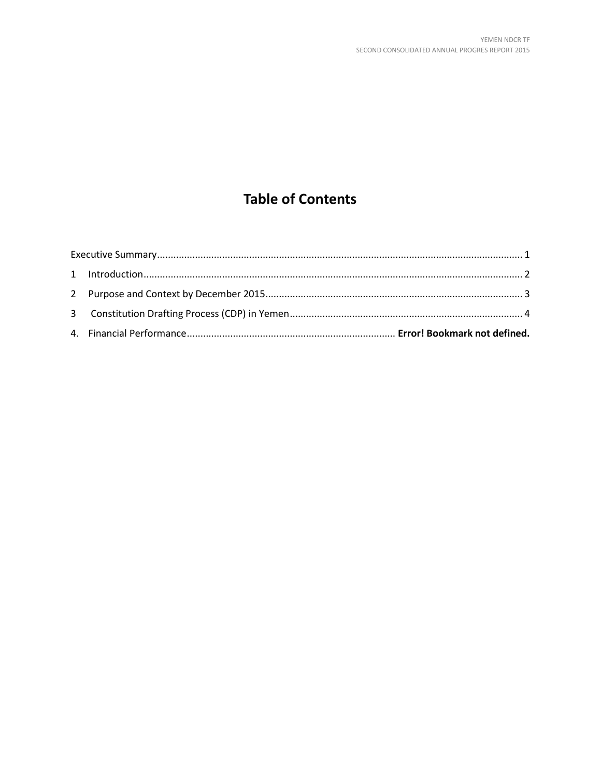## **Table of Contents**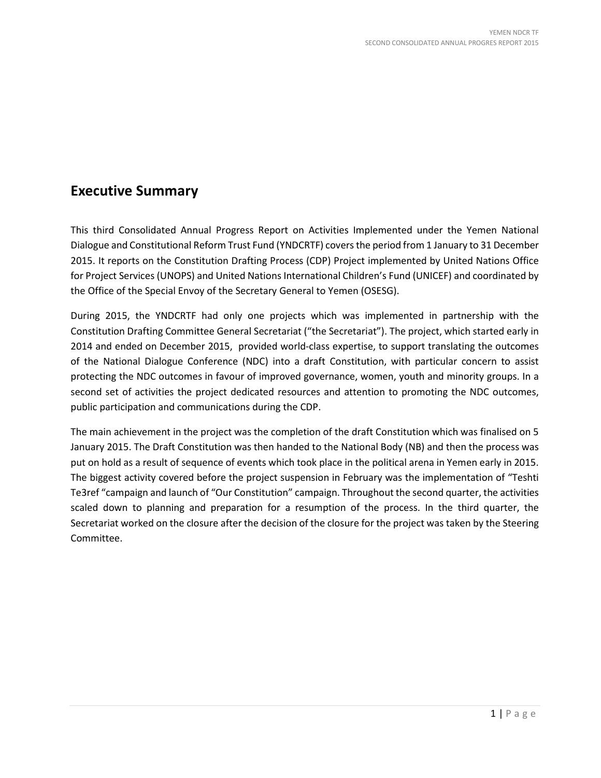## <span id="page-5-0"></span>**Executive Summary**

This third Consolidated Annual Progress Report on Activities Implemented under the Yemen National Dialogue and Constitutional Reform Trust Fund (YNDCRTF) covers the period from 1 January to 31 December 2015. It reports on the Constitution Drafting Process (CDP) Project implemented by United Nations Office for Project Services (UNOPS) and United Nations International Children's Fund (UNICEF) and coordinated by the Office of the Special Envoy of the Secretary General to Yemen (OSESG).

During 2015, the YNDCRTF had only one projects which was implemented in partnership with the Constitution Drafting Committee General Secretariat ("the Secretariat"). The project, which started early in 2014 and ended on December 2015, provided world-class expertise, to support translating the outcomes of the National Dialogue Conference (NDC) into a draft Constitution, with particular concern to assist protecting the NDC outcomes in favour of improved governance, women, youth and minority groups. In a second set of activities the project dedicated resources and attention to promoting the NDC outcomes, public participation and communications during the CDP.

The main achievement in the project was the completion of the draft Constitution which was finalised on 5 January 2015. The Draft Constitution was then handed to the National Body (NB) and then the process was put on hold as a result of sequence of events which took place in the political arena in Yemen early in 2015. The biggest activity covered before the project suspension in February was the implementation of "Teshti Te3ref "campaign and launch of "Our Constitution" campaign. Throughout the second quarter, the activities scaled down to planning and preparation for a resumption of the process. In the third quarter, the Secretariat worked on the closure after the decision of the closure for the project was taken by the Steering Committee.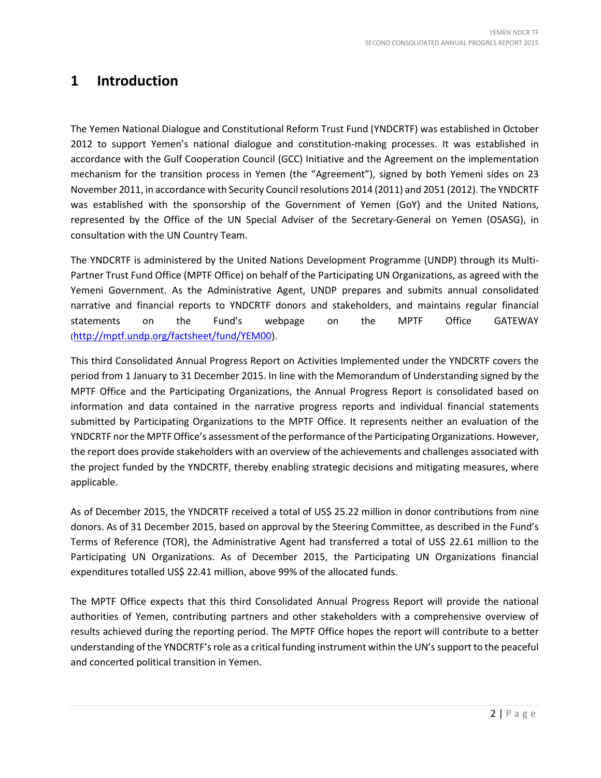## <span id="page-6-0"></span>**1 Introduction**

The Yemen National Dialogue and Constitutional Reform Trust Fund (YNDCRTF) was established in October 2012 to support Yemen's national dialogue and constitution-making processes. It was established in accordance with the Gulf Cooperation Council (GCC) Initiative and the Agreement on the implementation mechanism for the transition process in Yemen (the "Agreement"), signed by both Yemeni sides on 23 November 2011, in accordance with Security Council resolutions 2014 (2011) and 2051 (2012). The YNDCRTF was established with the sponsorship of the Government of Yemen (GoY) and the United Nations, represented by the Office of the UN Special Adviser of the Secretary-General on Yemen (OSASG), in consultation with the UN Country Team.

The YNDCRTF is administered by the United Nations Development Programme (UNDP) through its [Multi-](http://mdtf.undp.org/factsheet/fund/LBY00)[Partner Trust Fund Office \(MPTF Office\)](http://mdtf.undp.org/factsheet/fund/LBY00) on behalf of the Participating UN Organizations, as agreed with the Yemeni Government. As the Administrative Agent, UNDP prepares and submits annual consolidated narrative and financial reports to YNDCRTF donors and stakeholders, and maintains regular financial statements on the Fund's webpage on the MPTF Office GATEWAY [\(http://mptf.undp.org/factsheet/fund/YEM00\)](http://mptf.undp.org/factsheet/fund/YEM00).

This third Consolidated Annual Progress Report on Activities Implemented under the YNDCRTF covers the period from 1 January to 31 December 2015. In line with the Memorandum of Understanding signed by the MPTF Office and the Participating Organizations, the Annual Progress Report is consolidated based on information and data contained in the narrative progress reports and individual financial statements submitted by Participating Organizations to the MPTF Office. It represents neither an evaluation of the YNDCRTF nor the MPTF Office's assessment of the performance of the Participating Organizations. However, the report does provide stakeholders with an overview of the achievements and challenges associated with the project funded by the YNDCRTF, thereby enabling strategic decisions and mitigating measures, where applicable.

As of December 2015, the YNDCRTF received a total of US\$ 25.22 million in donor contributions from nine donors. As of 31 December 2015, based on approval by the Steering Committee, as described in the Fund's Terms of Reference (TOR), the Administrative Agent had transferred a total of US\$ 22.61 million to the Participating UN Organizations. As of December 2015, the Participating UN Organizations financial expenditures totalled US\$ 22.41 million, above 99% of the allocated funds.

The MPTF Office expects that this third Consolidated Annual Progress Report will provide the national authorities of Yemen, contributing partners and other stakeholders with a comprehensive overview of results achieved during the reporting period. The MPTF Office hopes the report will contribute to a better understanding of the YNDCRTF'srole as a critical funding instrument within the UN's support to the peaceful and concerted political transition in Yemen.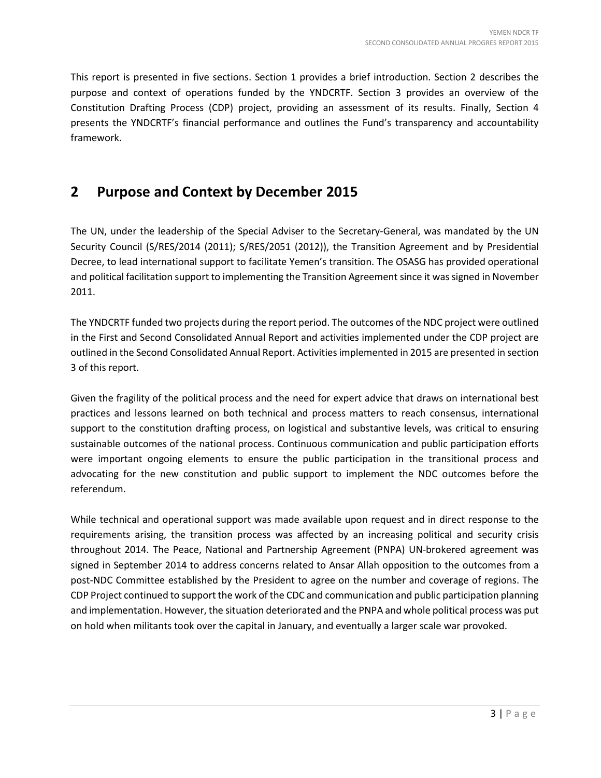This report is presented in five sections. Section 1 provides a brief introduction. Section 2 describes the purpose and context of operations funded by the YNDCRTF. Section 3 provides an overview of the Constitution Drafting Process (CDP) project, providing an assessment of its results. Finally, Section 4 presents the YNDCRTF's financial performance and outlines the Fund's transparency and accountability framework.

## <span id="page-7-0"></span>**2 Purpose and Context by December 2015**

The UN, under the leadership of the Special Adviser to the Secretary-General, was mandated by the UN Security Council (S/RES/2014 (2011); S/RES/2051 (2012)), the Transition Agreement and by Presidential Decree, to lead international support to facilitate Yemen's transition. The OSASG has provided operational and political facilitation support to implementing the Transition Agreement since it was signed in November 2011.

The YNDCRTF funded two projects during the report period. The outcomes of the NDC project were outlined in the First and Second Consolidated Annual Report and activities implemented under the CDP project are outlined in the Second Consolidated Annual Report. Activities implemented in 2015 are presented in section 3 of this report.

Given the fragility of the political process and the need for expert advice that draws on international best practices and lessons learned on both technical and process matters to reach consensus, international support to the constitution drafting process, on logistical and substantive levels, was critical to ensuring sustainable outcomes of the national process. Continuous communication and public participation efforts were important ongoing elements to ensure the public participation in the transitional process and advocating for the new constitution and public support to implement the NDC outcomes before the referendum.

While technical and operational support was made available upon request and in direct response to the requirements arising, the transition process was affected by an increasing political and security crisis throughout 2014. The Peace, National and Partnership Agreement (PNPA) UN-brokered agreement was signed in September 2014 to address concerns related to Ansar Allah opposition to the outcomes from a post-NDC Committee established by the President to agree on the number and coverage of regions. The CDP Project continued to support the work of the CDC and communication and public participation planning and implementation. However, the situation deteriorated and the PNPA and whole political process was put on hold when militants took over the capital in January, and eventually a larger scale war provoked.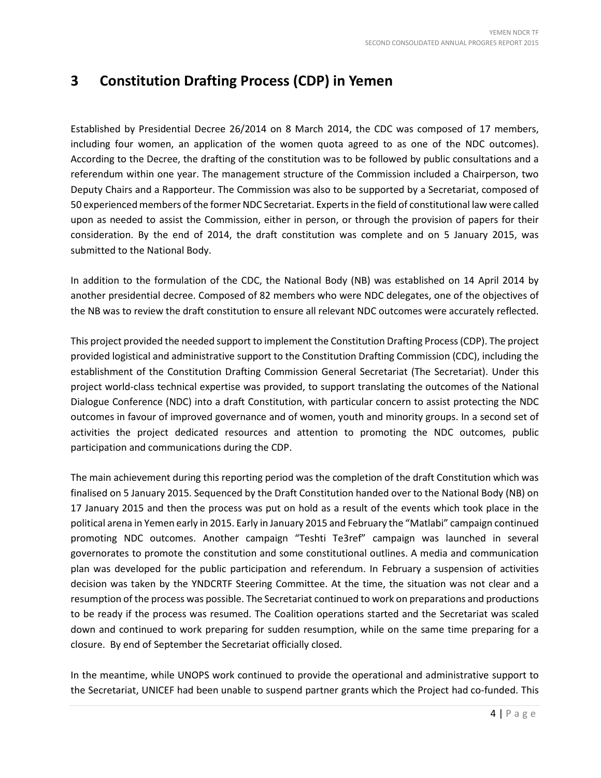## <span id="page-8-0"></span>**3 Constitution Drafting Process (CDP) in Yemen**

Established by Presidential Decree 26/2014 on 8 March 2014, the CDC was composed of 17 members, including four women, an application of the women quota agreed to as one of the NDC outcomes). According to the Decree, the drafting of the constitution was to be followed by public consultations and a referendum within one year. The management structure of the Commission included a Chairperson, two Deputy Chairs and a Rapporteur. The Commission was also to be supported by a Secretariat, composed of 50 experienced members of the former NDC Secretariat. Experts in the field of constitutional law were called upon as needed to assist the Commission, either in person, or through the provision of papers for their consideration. By the end of 2014, the draft constitution was complete and on 5 January 2015, was submitted to the National Body.

In addition to the formulation of the CDC, the National Body (NB) was established on 14 April 2014 by another presidential decree. Composed of 82 members who were NDC delegates, one of the objectives of the NB was to review the draft constitution to ensure all relevant NDC outcomes were accurately reflected.

This project provided the needed support to implement the Constitution Drafting Process (CDP). The project provided logistical and administrative support to the Constitution Drafting Commission (CDC), including the establishment of the Constitution Drafting Commission General Secretariat (The Secretariat). Under this project world-class technical expertise was provided, to support translating the outcomes of the National Dialogue Conference (NDC) into a draft Constitution, with particular concern to assist protecting the NDC outcomes in favour of improved governance and of women, youth and minority groups. In a second set of activities the project dedicated resources and attention to promoting the NDC outcomes, public participation and communications during the CDP.

The main achievement during this reporting period was the completion of the draft Constitution which was finalised on 5 January 2015. Sequenced by the Draft Constitution handed over to the National Body (NB) on 17 January 2015 and then the process was put on hold as a result of the events which took place in the political arena in Yemen early in 2015. Early in January 2015 and February the "Matlabi" campaign continued promoting NDC outcomes. Another campaign "Teshti Te3ref" campaign was launched in several governorates to promote the constitution and some constitutional outlines. A media and communication plan was developed for the public participation and referendum. In February a suspension of activities decision was taken by the YNDCRTF Steering Committee. At the time, the situation was not clear and a resumption of the process was possible. The Secretariat continued to work on preparations and productions to be ready if the process was resumed. The Coalition operations started and the Secretariat was scaled down and continued to work preparing for sudden resumption, while on the same time preparing for a closure. By end of September the Secretariat officially closed.

In the meantime, while UNOPS work continued to provide the operational and administrative support to the Secretariat, UNICEF had been unable to suspend partner grants which the Project had co-funded. This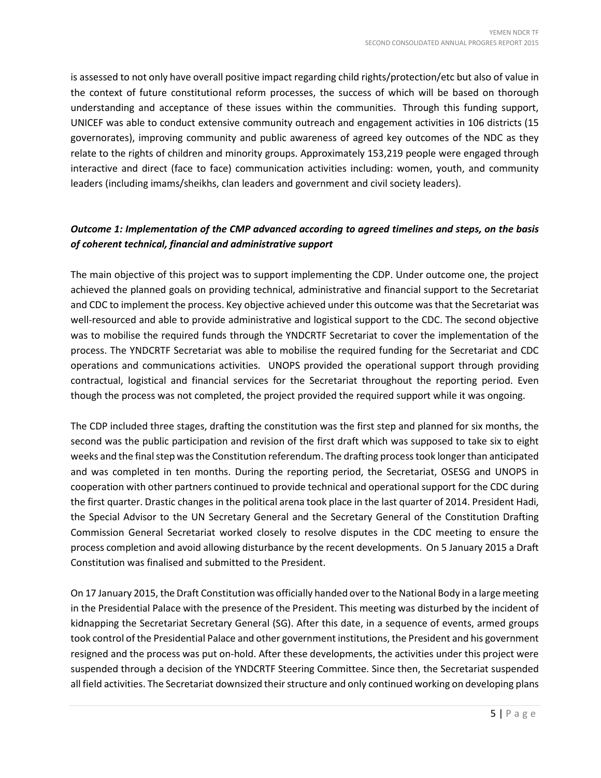is assessed to not only have overall positive impact regarding child rights/protection/etc but also of value in the context of future constitutional reform processes, the success of which will be based on thorough understanding and acceptance of these issues within the communities. Through this funding support, UNICEF was able to conduct extensive community outreach and engagement activities in 106 districts (15 governorates), improving community and public awareness of agreed key outcomes of the NDC as they relate to the rights of children and minority groups. Approximately 153,219 people were engaged through interactive and direct (face to face) communication activities including: women, youth, and community leaders (including imams/sheikhs, clan leaders and government and civil society leaders).

### *Outcome 1: Implementation of the CMP advanced according to agreed timelines and steps, on the basis of coherent technical, financial and administrative support*

The main objective of this project was to support implementing the CDP. Under outcome one, the project achieved the planned goals on providing technical, administrative and financial support to the Secretariat and CDC to implement the process. Key objective achieved under this outcome was that the Secretariat was well-resourced and able to provide administrative and logistical support to the CDC. The second objective was to mobilise the required funds through the YNDCRTF Secretariat to cover the implementation of the process. The YNDCRTF Secretariat was able to mobilise the required funding for the Secretariat and CDC operations and communications activities. UNOPS provided the operational support through providing contractual, logistical and financial services for the Secretariat throughout the reporting period. Even though the process was not completed, the project provided the required support while it was ongoing.

The CDP included three stages, drafting the constitution was the first step and planned for six months, the second was the public participation and revision of the first draft which was supposed to take six to eight weeks and the final step was the Constitution referendum. The drafting process took longer than anticipated and was completed in ten months. During the reporting period, the Secretariat, OSESG and UNOPS in cooperation with other partners continued to provide technical and operational support for the CDC during the first quarter. Drastic changes in the political arena took place in the last quarter of 2014. President Hadi, the Special Advisor to the UN Secretary General and the Secretary General of the Constitution Drafting Commission General Secretariat worked closely to resolve disputes in the CDC meeting to ensure the process completion and avoid allowing disturbance by the recent developments. On 5 January 2015 a Draft Constitution was finalised and submitted to the President.

On 17 January 2015, the Draft Constitution was officially handed over to the National Body in a large meeting in the Presidential Palace with the presence of the President. This meeting was disturbed by the incident of kidnapping the Secretariat Secretary General (SG). After this date, in a sequence of events, armed groups took control of the Presidential Palace and other government institutions, the President and his government resigned and the process was put on-hold. After these developments, the activities under this project were suspended through a decision of the YNDCRTF Steering Committee. Since then, the Secretariat suspended all field activities. The Secretariat downsized their structure and only continued working on developing plans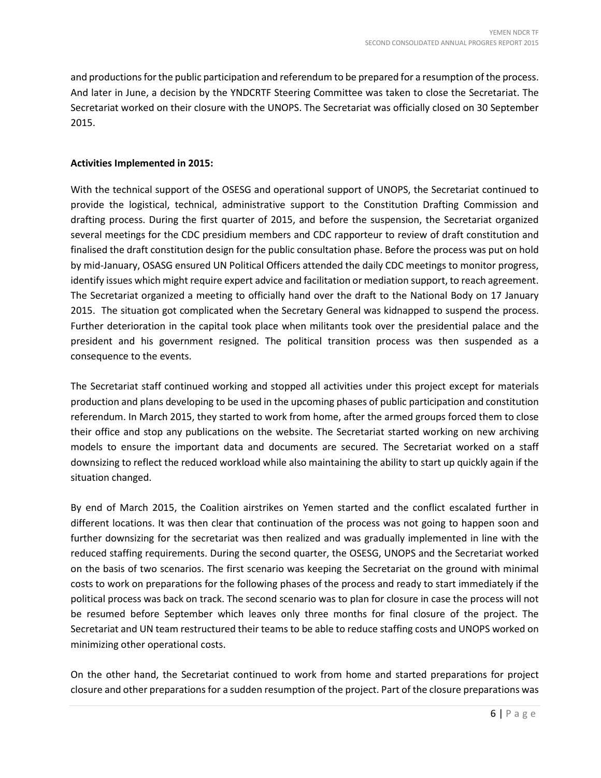and productions for the public participation and referendum to be prepared for a resumption of the process. And later in June, a decision by the YNDCRTF Steering Committee was taken to close the Secretariat. The Secretariat worked on their closure with the UNOPS. The Secretariat was officially closed on 30 September 2015.

### **Activities Implemented in 2015:**

With the technical support of the OSESG and operational support of UNOPS, the Secretariat continued to provide the logistical, technical, administrative support to the Constitution Drafting Commission and drafting process. During the first quarter of 2015, and before the suspension, the Secretariat organized several meetings for the CDC presidium members and CDC rapporteur to review of draft constitution and finalised the draft constitution design for the public consultation phase. Before the process was put on hold by mid-January, OSASG ensured UN Political Officers attended the daily CDC meetings to monitor progress, identify issues which might require expert advice and facilitation or mediation support, to reach agreement. The Secretariat organized a meeting to officially hand over the draft to the National Body on 17 January 2015. The situation got complicated when the Secretary General was kidnapped to suspend the process. Further deterioration in the capital took place when militants took over the presidential palace and the president and his government resigned. The political transition process was then suspended as a consequence to the events.

The Secretariat staff continued working and stopped all activities under this project except for materials production and plans developing to be used in the upcoming phases of public participation and constitution referendum. In March 2015, they started to work from home, after the armed groups forced them to close their office and stop any publications on the website. The Secretariat started working on new archiving models to ensure the important data and documents are secured. The Secretariat worked on a staff downsizing to reflect the reduced workload while also maintaining the ability to start up quickly again if the situation changed.

By end of March 2015, the Coalition airstrikes on Yemen started and the conflict escalated further in different locations. It was then clear that continuation of the process was not going to happen soon and further downsizing for the secretariat was then realized and was gradually implemented in line with the reduced staffing requirements. During the second quarter, the OSESG, UNOPS and the Secretariat worked on the basis of two scenarios. The first scenario was keeping the Secretariat on the ground with minimal costs to work on preparations for the following phases of the process and ready to start immediately if the political process was back on track. The second scenario was to plan for closure in case the process will not be resumed before September which leaves only three months for final closure of the project. The Secretariat and UN team restructured their teams to be able to reduce staffing costs and UNOPS worked on minimizing other operational costs.

On the other hand, the Secretariat continued to work from home and started preparations for project closure and other preparations for a sudden resumption of the project. Part of the closure preparations was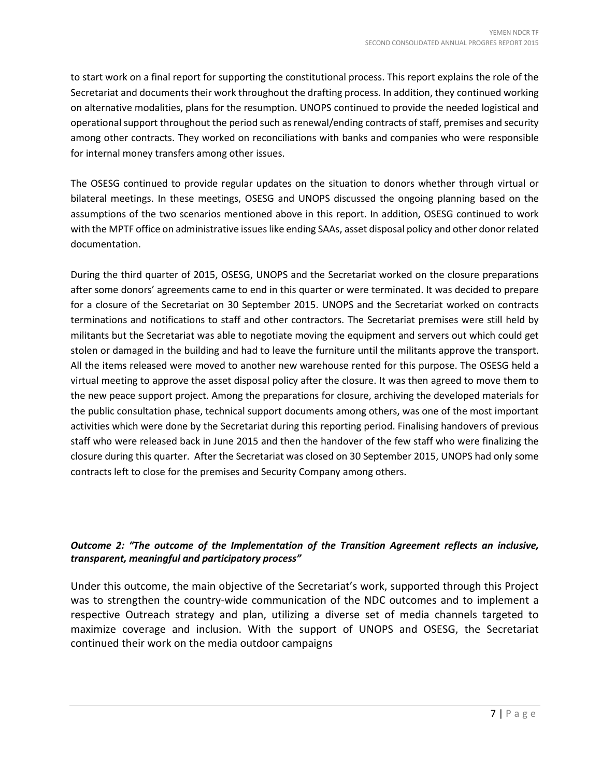to start work on a final report for supporting the constitutional process. This report explains the role of the Secretariat and documents their work throughout the drafting process. In addition, they continued working on alternative modalities, plans for the resumption. UNOPS continued to provide the needed logistical and operational support throughout the period such as renewal/ending contracts of staff, premises and security among other contracts. They worked on reconciliations with banks and companies who were responsible for internal money transfers among other issues.

The OSESG continued to provide regular updates on the situation to donors whether through virtual or bilateral meetings. In these meetings, OSESG and UNOPS discussed the ongoing planning based on the assumptions of the two scenarios mentioned above in this report. In addition, OSESG continued to work with the MPTF office on administrative issues like ending SAAs, asset disposal policy and other donor related documentation.

During the third quarter of 2015, OSESG, UNOPS and the Secretariat worked on the closure preparations after some donors' agreements came to end in this quarter or were terminated. It was decided to prepare for a closure of the Secretariat on 30 September 2015. UNOPS and the Secretariat worked on contracts terminations and notifications to staff and other contractors. The Secretariat premises were still held by militants but the Secretariat was able to negotiate moving the equipment and servers out which could get stolen or damaged in the building and had to leave the furniture until the militants approve the transport. All the items released were moved to another new warehouse rented for this purpose. The OSESG held a virtual meeting to approve the asset disposal policy after the closure. It was then agreed to move them to the new peace support project. Among the preparations for closure, archiving the developed materials for the public consultation phase, technical support documents among others, was one of the most important activities which were done by the Secretariat during this reporting period. Finalising handovers of previous staff who were released back in June 2015 and then the handover of the few staff who were finalizing the closure during this quarter. After the Secretariat was closed on 30 September 2015, UNOPS had only some contracts left to close for the premises and Security Company among others.

## *Outcome 2: "The outcome of the Implementation of the Transition Agreement reflects an inclusive, transparent, meaningful and participatory process"*

Under this outcome, the main objective of the Secretariat's work, supported through this Project was to strengthen the country-wide communication of the NDC outcomes and to implement a respective Outreach strategy and plan, utilizing a diverse set of media channels targeted to maximize coverage and inclusion. With the support of UNOPS and OSESG, the Secretariat continued their work on the media outdoor campaigns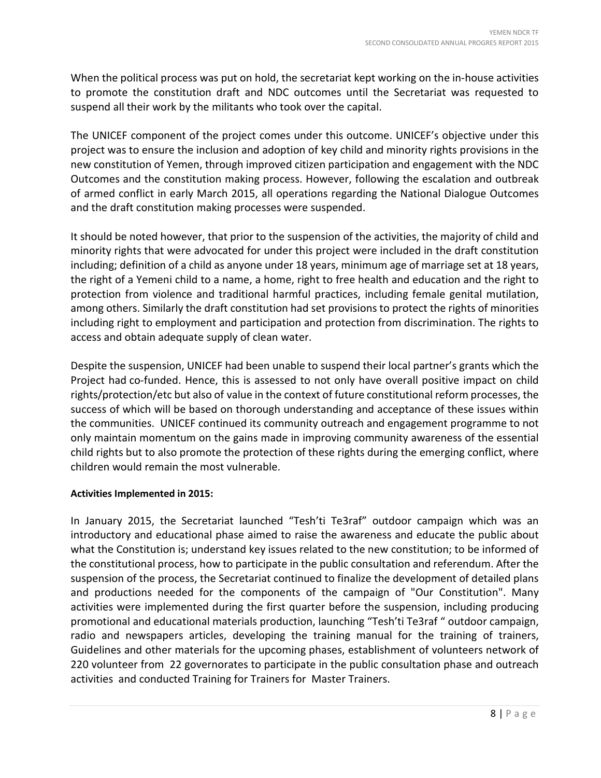When the political process was put on hold, the secretariat kept working on the in-house activities to promote the constitution draft and NDC outcomes until the Secretariat was requested to suspend all their work by the militants who took over the capital.

The UNICEF component of the project comes under this outcome. UNICEF's objective under this project was to ensure the inclusion and adoption of key child and minority rights provisions in the new constitution of Yemen, through improved citizen participation and engagement with the NDC Outcomes and the constitution making process. However, following the escalation and outbreak of armed conflict in early March 2015, all operations regarding the National Dialogue Outcomes and the draft constitution making processes were suspended.

It should be noted however, that prior to the suspension of the activities, the majority of child and minority rights that were advocated for under this project were included in the draft constitution including; definition of a child as anyone under 18 years, minimum age of marriage set at 18 years, the right of a Yemeni child to a name, a home, right to free health and education and the right to protection from violence and traditional harmful practices, including female genital mutilation, among others. Similarly the draft constitution had set provisions to protect the rights of minorities including right to employment and participation and protection from discrimination. The rights to access and obtain adequate supply of clean water.

Despite the suspension, UNICEF had been unable to suspend their local partner's grants which the Project had co-funded. Hence, this is assessed to not only have overall positive impact on child rights/protection/etc but also of value in the context of future constitutional reform processes, the success of which will be based on thorough understanding and acceptance of these issues within the communities. UNICEF continued its community outreach and engagement programme to not only maintain momentum on the gains made in improving community awareness of the essential child rights but to also promote the protection of these rights during the emerging conflict, where children would remain the most vulnerable.

## **Activities Implemented in 2015:**

In January 2015, the Secretariat launched "Tesh'ti Te3raf" outdoor campaign which was an introductory and educational phase aimed to raise the awareness and educate the public about what the Constitution is; understand key issues related to the new constitution; to be informed of the constitutional process, how to participate in the public consultation and referendum. After the suspension of the process, the Secretariat continued to finalize the development of detailed plans and productions needed for the components of the campaign of "Our Constitution". Many activities were implemented during the first quarter before the suspension, including producing promotional and educational materials production, launching "Tesh'ti Te3raf " outdoor campaign, radio and newspapers articles, developing the training manual for the training of trainers, Guidelines and other materials for the upcoming phases, establishment of volunteers network of 220 volunteer from 22 governorates to participate in the public consultation phase and outreach activities and conducted Training for Trainers for Master Trainers.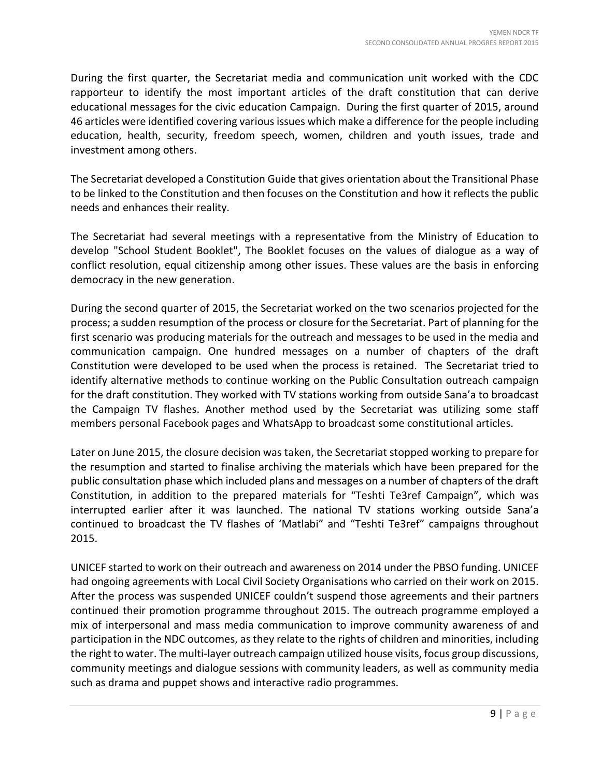During the first quarter, the Secretariat media and communication unit worked with the CDC rapporteur to identify the most important articles of the draft constitution that can derive educational messages for the civic education Campaign. During the first quarter of 2015, around 46 articles were identified covering various issues which make a difference for the people including education, health, security, freedom speech, women, children and youth issues, trade and investment among others.

The Secretariat developed a Constitution Guide that gives orientation about the Transitional Phase to be linked to the Constitution and then focuses on the Constitution and how it reflects the public needs and enhances their reality.

The Secretariat had several meetings with a representative from the Ministry of Education to develop "School Student Booklet", The Booklet focuses on the values of dialogue as a way of conflict resolution, equal citizenship among other issues. These values are the basis in enforcing democracy in the new generation.

During the second quarter of 2015, the Secretariat worked on the two scenarios projected for the process; a sudden resumption of the process or closure for the Secretariat. Part of planning for the first scenario was producing materials for the outreach and messages to be used in the media and communication campaign. One hundred messages on a number of chapters of the draft Constitution were developed to be used when the process is retained. The Secretariat tried to identify alternative methods to continue working on the Public Consultation outreach campaign for the draft constitution. They worked with TV stations working from outside Sana'a to broadcast the Campaign TV flashes. Another method used by the Secretariat was utilizing some staff members personal Facebook pages and WhatsApp to broadcast some constitutional articles.

Later on June 2015, the closure decision was taken, the Secretariat stopped working to prepare for the resumption and started to finalise archiving the materials which have been prepared for the public consultation phase which included plans and messages on a number of chapters of the draft Constitution, in addition to the prepared materials for "Teshti Te3ref Campaign", which was interrupted earlier after it was launched. The national TV stations working outside Sana'a continued to broadcast the TV flashes of 'Matlabi" and "Teshti Te3ref" campaigns throughout 2015.

UNICEF started to work on their outreach and awareness on 2014 under the PBSO funding. UNICEF had ongoing agreements with Local Civil Society Organisations who carried on their work on 2015. After the process was suspended UNICEF couldn't suspend those agreements and their partners continued their promotion programme throughout 2015. The outreach programme employed a mix of interpersonal and mass media communication to improve community awareness of and participation in the NDC outcomes, as they relate to the rights of children and minorities, including the right to water. The multi-layer outreach campaign utilized house visits, focus group discussions, community meetings and dialogue sessions with community leaders, as well as community media such as drama and puppet shows and interactive radio programmes.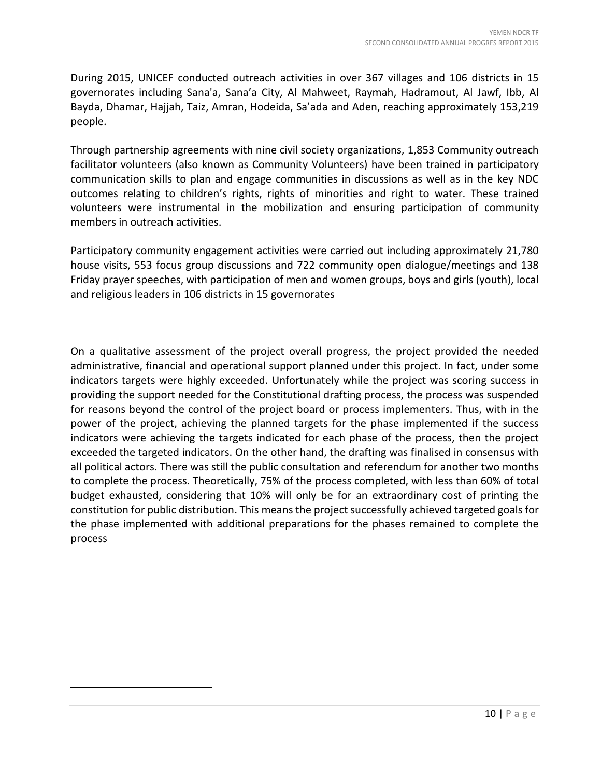During 2015, UNICEF conducted outreach activities in over 367 villages and 106 districts in 15 governorates including Sana'a, Sana'a City, Al Mahweet, Raymah, Hadramout, Al Jawf, Ibb, Al Bayda, Dhamar, Hajjah, Taiz, Amran, Hodeida, Sa'ada and Aden, reaching approximately 153,219 people.

Through partnership agreements with nine civil society organizations, [1,](#page-14-0)853 Community outreach facilitator volunteers (also known as Community Volunteers) have been trained in participatory communication skills to plan and engage communities in discussions as well as in the key NDC outcomes relating to children's rights, rights of minorities and right to water. These trained volunteers were instrumental in the mobilization and ensuring participation of community members in outreach activities.

Participatory community engagement activities were carried out including approximately 21,780 house visits, 553 focus group discussions and 722 community open dialogue/meetings and 138 Friday prayer speeches, with participation of men and women groups, boys and girls (youth), local and religious leaders in 106 districts in 15 governorates

On a qualitative assessment of the project overall progress, the project provided the needed administrative, financial and operational support planned under this project. In fact, under some indicators targets were highly exceeded. Unfortunately while the project was scoring success in providing the support needed for the Constitutional drafting process, the process was suspended for reasons beyond the control of the project board or process implementers. Thus, with in the power of the project, achieving the planned targets for the phase implemented if the success indicators were achieving the targets indicated for each phase of the process, then the project exceeded the targeted indicators. On the other hand, the drafting was finalised in consensus with all political actors. There was still the public consultation and referendum for another two months to complete the process. Theoretically, 75% of the process completed, with less than 60% of total budget exhausted, considering that 10% will only be for an extraordinary cost of printing the constitution for public distribution. This means the project successfully achieved targeted goals for the phase implemented with additional preparations for the phases remained to complete the process

<span id="page-14-0"></span> $\overline{\phantom{a}}$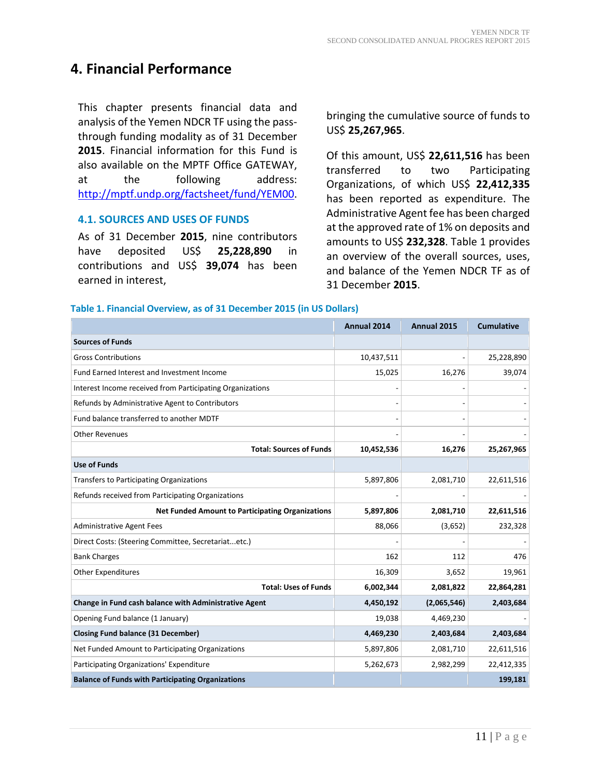## **4. Financial Performance**

This chapter presents financial data and analysis of the Yemen NDCR TF using the passthrough funding modality as of 31 December **2015**. Financial information for this Fund is also available on the MPTF Office GATEWAY, at the following address: [http://mptf.undp.org/factsheet/fund/YEM00.](http://mptf.undp.org/factsheet/fund/YEM00)

### **4.1. SOURCES AND USES OF FUNDS**

As of 31 December **2015**, nine contributors have deposited US\$ **25,228,890** in contributions and US\$ **39,074** has been earned in interest,

bringing the cumulative source of funds to US\$ **25,267,965**.

Of this amount, US\$ **22,611,516** has been transferred to two Participating Organizations, of which US\$ **22,412,335** has been reported as expenditure. The Administrative Agent fee has been charged at the approved rate of 1% on deposits and amounts to US\$ **232,328**. Table 1 provides an overview of the overall sources, uses, and balance of the Yemen NDCR TF as of 31 December **2015**.

### **Table 1. Financial Overview, as of 31 December 2015 (in US Dollars)**

|                                                           | Annual 2014 | Annual 2015 | <b>Cumulative</b> |
|-----------------------------------------------------------|-------------|-------------|-------------------|
| <b>Sources of Funds</b>                                   |             |             |                   |
| <b>Gross Contributions</b>                                | 10,437,511  |             | 25,228,890        |
| Fund Earned Interest and Investment Income                | 15,025      | 16,276      | 39,074            |
| Interest Income received from Participating Organizations |             |             |                   |
| Refunds by Administrative Agent to Contributors           |             |             |                   |
| Fund balance transferred to another MDTF                  |             |             |                   |
| <b>Other Revenues</b>                                     |             |             |                   |
| <b>Total: Sources of Funds</b>                            | 10,452,536  | 16,276      | 25,267,965        |
| <b>Use of Funds</b>                                       |             |             |                   |
| Transfers to Participating Organizations                  | 5,897,806   | 2,081,710   | 22,611,516        |
| Refunds received from Participating Organizations         |             |             |                   |
| <b>Net Funded Amount to Participating Organizations</b>   | 5,897,806   | 2,081,710   | 22,611,516        |
| <b>Administrative Agent Fees</b>                          | 88,066      | (3,652)     | 232,328           |
| Direct Costs: (Steering Committee, Secretariatetc.)       |             |             |                   |
| <b>Bank Charges</b>                                       | 162         | 112         | 476               |
| <b>Other Expenditures</b>                                 | 16,309      | 3,652       | 19,961            |
| <b>Total: Uses of Funds</b>                               | 6,002,344   | 2,081,822   | 22,864,281        |
| Change in Fund cash balance with Administrative Agent     | 4,450,192   | (2,065,546) | 2,403,684         |
| Opening Fund balance (1 January)                          | 19,038      | 4,469,230   |                   |
| <b>Closing Fund balance (31 December)</b>                 | 4,469,230   | 2,403,684   | 2,403,684         |
| Net Funded Amount to Participating Organizations          | 5,897,806   | 2,081,710   | 22,611,516        |
| Participating Organizations' Expenditure                  | 5,262,673   | 2,982,299   | 22,412,335        |
| <b>Balance of Funds with Participating Organizations</b>  |             |             | 199,181           |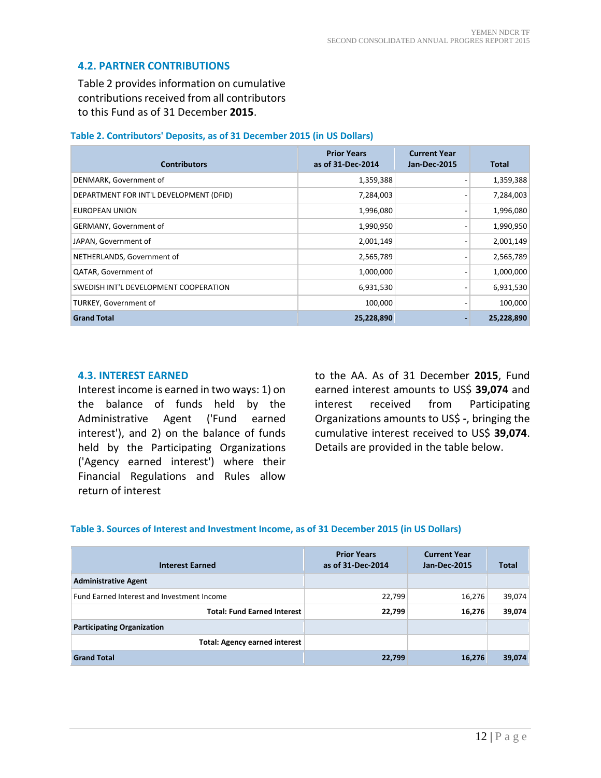### **4.2. PARTNER CONTRIBUTIONS**

Table 2 provides information on cumulative contributions received from all contributors to this Fund as of 31 December **2015**.

#### **Table 2. Contributors' Deposits, as of 31 December 2015 (in US Dollars)**

| <b>Contributors</b>                     | <b>Prior Years</b><br>as of 31-Dec-2014 | <b>Current Year</b><br><b>Jan-Dec-2015</b> | Total      |
|-----------------------------------------|-----------------------------------------|--------------------------------------------|------------|
| DENMARK, Government of                  | 1,359,388                               |                                            | 1,359,388  |
| DEPARTMENT FOR INT'L DEVELOPMENT (DFID) | 7,284,003                               |                                            | 7,284,003  |
| EUROPEAN UNION                          | 1,996,080                               |                                            | 1,996,080  |
| GERMANY, Government of                  | 1,990,950                               |                                            | 1,990,950  |
| JAPAN, Government of                    | 2,001,149                               |                                            | 2,001,149  |
| NETHERLANDS, Government of              | 2,565,789                               |                                            | 2,565,789  |
| QATAR, Government of                    | 1,000,000                               |                                            | 1,000,000  |
| SWEDISH INT'L DEVELOPMENT COOPERATION   | 6,931,530                               | $\overline{\phantom{0}}$                   | 6,931,530  |
| TURKEY, Government of                   | 100,000                                 |                                            | 100,000    |
| <b>Grand Total</b>                      | 25,228,890                              |                                            | 25,228,890 |

#### **4.3. INTEREST EARNED**

Interest income is earned in two ways: 1) on the balance of funds held by the Administrative Agent ('Fund earned interest'), and 2) on the balance of funds held by the Participating Organizations ('Agency earned interest') where their Financial Regulations and Rules allow return of interest

to the AA. As of 31 December **2015**, Fund earned interest amounts to US\$ **39,074** and interest received from Participating Organizations amounts to US\$ **-**, bringing the cumulative interest received to US\$ **39,074**. Details are provided in the table below.

#### **Table 3. Sources of Interest and Investment Income, as of 31 December 2015 (in US Dollars)**

| <b>Interest Earned</b>                     | <b>Prior Years</b><br>as of 31-Dec-2014 | <b>Current Year</b><br><b>Jan-Dec-2015</b> | <b>Total</b> |
|--------------------------------------------|-----------------------------------------|--------------------------------------------|--------------|
| <b>Administrative Agent</b>                |                                         |                                            |              |
| Fund Earned Interest and Investment Income | 22,799                                  | 16,276                                     | 39,074       |
| <b>Total: Fund Earned Interest</b>         | 22,799                                  | 16,276                                     | 39,074       |
| <b>Participating Organization</b>          |                                         |                                            |              |
| <b>Total: Agency earned interest</b>       |                                         |                                            |              |
| <b>Grand Total</b>                         | 22,799                                  | 16,276                                     | 39,074       |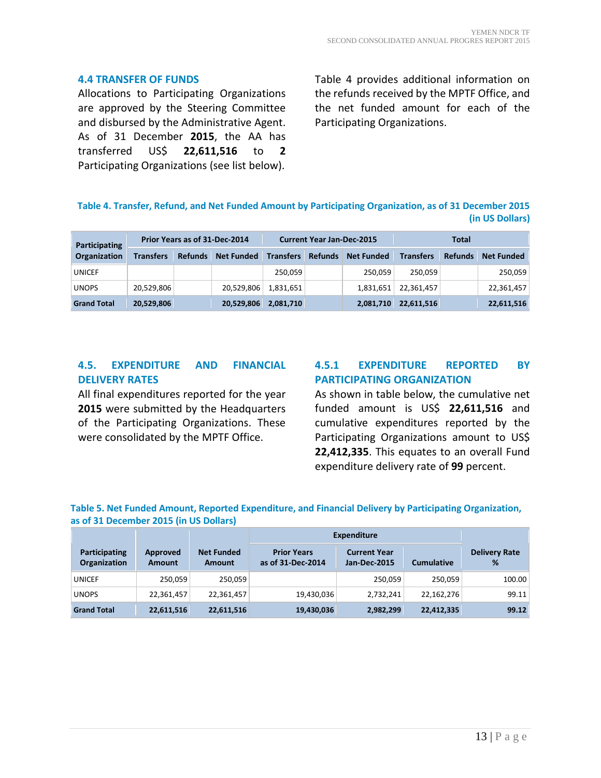### **4.4 TRANSFER OF FUNDS**

Allocations to Participating Organizations are approved by the Steering Committee and disbursed by the Administrative Agent. As of 31 December **2015**, the AA has transferred US\$ **22,611,516** to **2** Participating Organizations (see list below).

Table 4 provides additional information on the refunds received by the MPTF Office, and the net funded amount for each of the Participating Organizations.

### **Table 4. Transfer, Refund, and Net Funded Amount by Participating Organization, as of 31 December 2015 (in US Dollars)**

| <b>Participating</b> | Prior Years as of 31-Dec-2014 |                |                   | <b>Current Year Jan-Dec-2015</b> |                |                   | Total            |                |                   |
|----------------------|-------------------------------|----------------|-------------------|----------------------------------|----------------|-------------------|------------------|----------------|-------------------|
| <b>Organization</b>  | <b>Transfers</b>              | <b>Refunds</b> | <b>Net Funded</b> | <b>Transfers</b>                 | <b>Refunds</b> | <b>Net Funded</b> | <b>Transfers</b> | <b>Refunds</b> | <b>Net Funded</b> |
| <b>UNICEF</b>        |                               |                |                   | 250.059                          |                | 250.059           | 250.059          |                | 250,059           |
| <b>UNOPS</b>         | 20,529,806                    |                | 20,529,806        | 1,831,651                        |                | 1,831,651         | 22,361,457       |                | 22,361,457        |
| <b>Grand Total</b>   | 20,529,806                    |                | 20,529,806        | 2,081,710                        |                | 2,081,710         | 22,611,516       |                | 22,611,516        |

### **4.5. EXPENDITURE AND FINANCIAL DELIVERY RATES**

All final expenditures reported for the year **2015** were submitted by the Headquarters of the Participating Organizations. These were consolidated by the MPTF Office.

### **4.5.1 EXPENDITURE REPORTED BY PARTICIPATING ORGANIZATION**

As shown in table below, the cumulative net funded amount is US\$ **22,611,516** and cumulative expenditures reported by the Participating Organizations amount to US\$ **22,412,335**. This equates to an overall Fund expenditure delivery rate of **99** percent.

### **Table 5. Net Funded Amount, Reported Expenditure, and Financial Delivery by Participating Organization, as of 31 December 2015 (in US Dollars)**

|                                      |                           |                                    | <b>Expenditure</b>                      |                                            |                   |                           |
|--------------------------------------|---------------------------|------------------------------------|-----------------------------------------|--------------------------------------------|-------------------|---------------------------|
| Participating<br><b>Organization</b> | Approved<br><b>Amount</b> | <b>Net Funded</b><br><b>Amount</b> | <b>Prior Years</b><br>as of 31-Dec-2014 | <b>Current Year</b><br><b>Jan-Dec-2015</b> | <b>Cumulative</b> | <b>Delivery Rate</b><br>% |
| <b>UNICEF</b>                        | 250.059                   | 250,059                            |                                         | 250,059                                    | 250.059           | 100.00                    |
| <b>UNOPS</b>                         | 22,361,457                | 22,361,457                         | 19,430,036                              | 2,732,241                                  | 22,162,276        | 99.11                     |
| <b>Grand Total</b>                   | 22,611,516                | 22,611,516                         | 19,430,036                              | 2,982,299                                  | 22,412,335        | 99.12                     |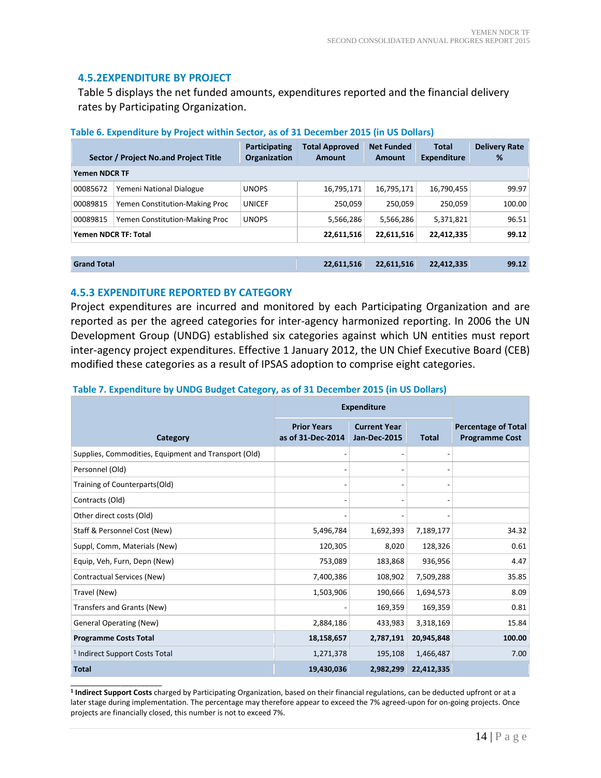### **4.5.2EXPENDITURE BY PROJECT**

Table 5 displays the net funded amounts, expenditures reported and the financial delivery rates by Participating Organization.

|                      | Sector / Project No.and Project Title | <b>Total Approved</b><br>Amount | <b>Net Funded</b><br>Amount | Total<br><b>Expenditure</b> | <b>Delivery Rate</b><br>℅ |        |
|----------------------|---------------------------------------|---------------------------------|-----------------------------|-----------------------------|---------------------------|--------|
| <b>Yemen NDCR TF</b> |                                       |                                 |                             |                             |                           |        |
| 00085672             | Yemeni National Dialogue              | <b>UNOPS</b>                    | 16,795,171                  | 16,795,171                  | 16,790,455                | 99.97  |
| 00089815             | Yemen Constitution-Making Proc        | <b>UNICEF</b>                   | 250,059                     | 250.059                     | 250,059                   | 100.00 |
| 00089815             | Yemen Constitution-Making Proc        | <b>UNOPS</b>                    | 5,566,286                   | 5,566,286                   | 5,371,821                 | 96.51  |
|                      | <b>Yemen NDCR TF: Total</b>           |                                 | 22,611,516                  | 22,611,516                  | 22,412,335                | 99.12  |
|                      |                                       |                                 |                             |                             |                           |        |
| <b>Grand Total</b>   |                                       |                                 | 22,611,516                  | 22,611,516                  | 22,412,335                | 99.12  |

### **Table 6. Expenditure by Project within Sector, as of 31 December 2015 (in US Dollars)**

### **4.5.3 EXPENDITURE REPORTED BY CATEGORY**

Project expenditures are incurred and monitored by each Participating Organization and are reported as per the agreed categories for inter-agency harmonized reporting. In 2006 the UN Development Group (UNDG) established six categories against which UN entities must report inter-agency project expenditures. Effective 1 January 2012, the UN Chief Executive Board (CEB) modified these categories as a result of IPSAS adoption to comprise eight categories.

|                                                      | <b>Expenditure</b>                      |                                            |              |                                                     |
|------------------------------------------------------|-----------------------------------------|--------------------------------------------|--------------|-----------------------------------------------------|
| Category                                             | <b>Prior Years</b><br>as of 31-Dec-2014 | <b>Current Year</b><br><b>Jan-Dec-2015</b> | <b>Total</b> | <b>Percentage of Total</b><br><b>Programme Cost</b> |
| Supplies, Commodities, Equipment and Transport (Old) |                                         |                                            |              |                                                     |
| Personnel (Old)                                      |                                         |                                            |              |                                                     |
| Training of Counterparts(Old)                        |                                         |                                            |              |                                                     |
| Contracts (Old)                                      |                                         |                                            |              |                                                     |
| Other direct costs (Old)                             |                                         |                                            |              |                                                     |
| Staff & Personnel Cost (New)                         | 5,496,784                               | 1,692,393                                  | 7,189,177    | 34.32                                               |
| Suppl, Comm, Materials (New)                         | 120,305                                 | 8,020                                      | 128,326      | 0.61                                                |
| Equip, Veh, Furn, Depn (New)                         | 753,089                                 | 183,868                                    | 936,956      | 4.47                                                |
| Contractual Services (New)                           | 7,400,386                               | 108,902                                    | 7,509,288    | 35.85                                               |
| Travel (New)                                         | 1,503,906                               | 190,666                                    | 1,694,573    | 8.09                                                |
| Transfers and Grants (New)                           |                                         | 169,359                                    | 169,359      | 0.81                                                |
| <b>General Operating (New)</b>                       | 2,884,186                               | 433,983                                    | 3,318,169    | 15.84                                               |
| <b>Programme Costs Total</b>                         | 18,158,657                              | 2,787,191                                  | 20,945,848   | 100.00                                              |
| <sup>1</sup> Indirect Support Costs Total            | 1,271,378                               | 195,108                                    | 1,466,487    | 7.00                                                |
| <b>Total</b>                                         | 19,430,036                              | 2,982,299                                  | 22,412,335   |                                                     |

#### **Table 7. Expenditure by UNDG Budget Category, as of 31 December 2015 (in US Dollars)**

\_\_\_\_\_\_\_\_\_\_\_\_\_\_\_\_\_\_\_\_\_\_ **<sup>1</sup> Indirect Support Costs** charged by Participating Organization, based on their financial regulations, can be deducted upfront or at a later stage during implementation. The percentage may therefore appear to exceed the 7% agreed-upon for on-going projects. Once projects are financially closed, this number is not to exceed 7%.